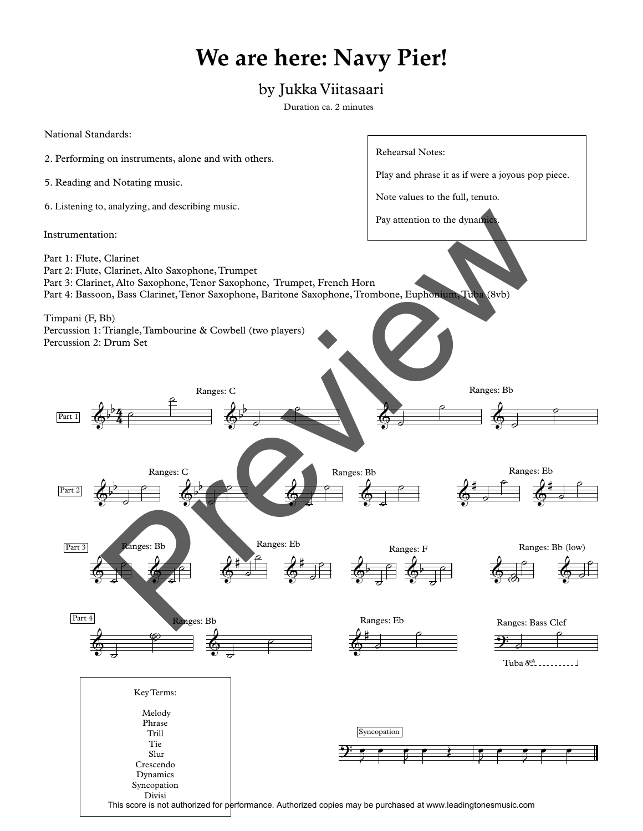## **We are here: Navy Pier!**

## by Jukka Viitasaari

Duration ca. 2 minutes

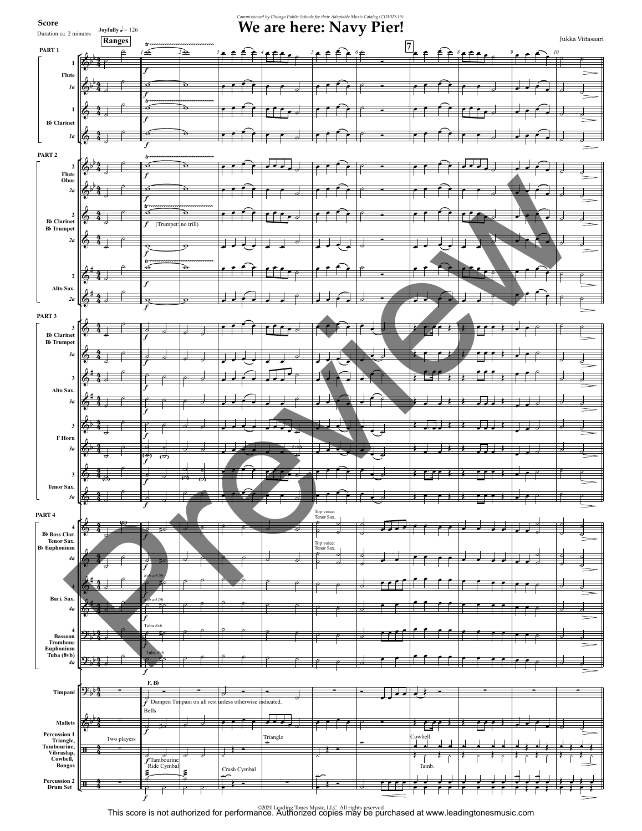

©2020 Leading Tones Music, LLC. All rights reserved This score is not authorized for performance. Authorized copies may be purchased at www.leadingtonesmusic.com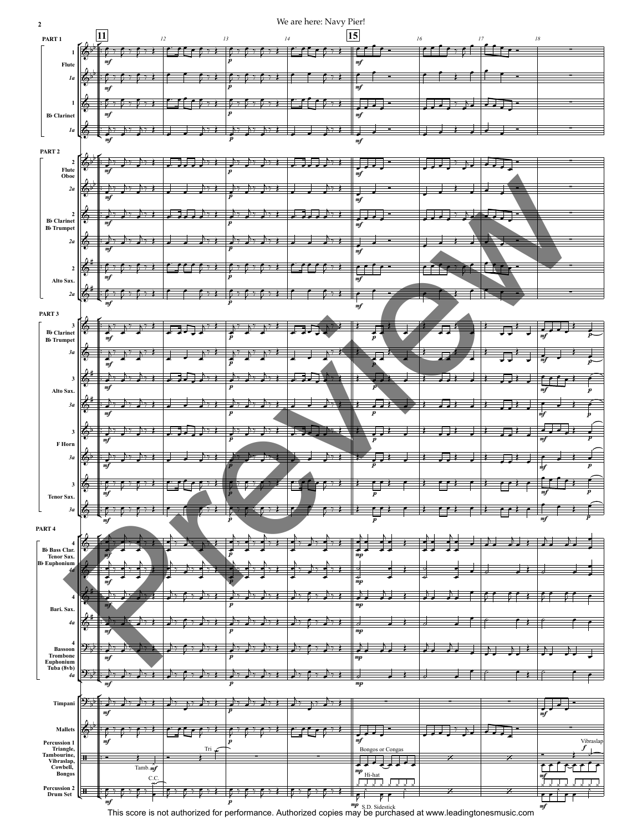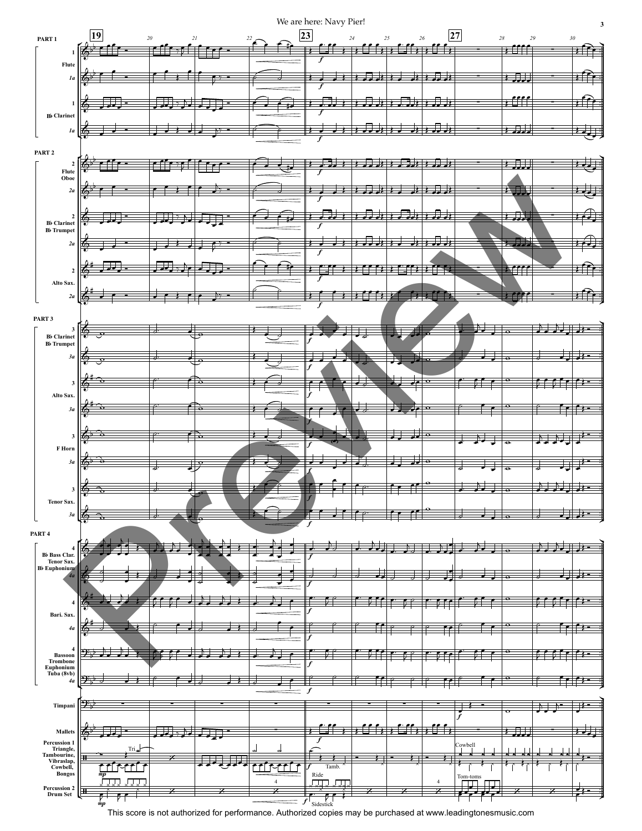

This score is not authorized for performance. Authorized copies may be purchased at www.leadingtonesmusic.com